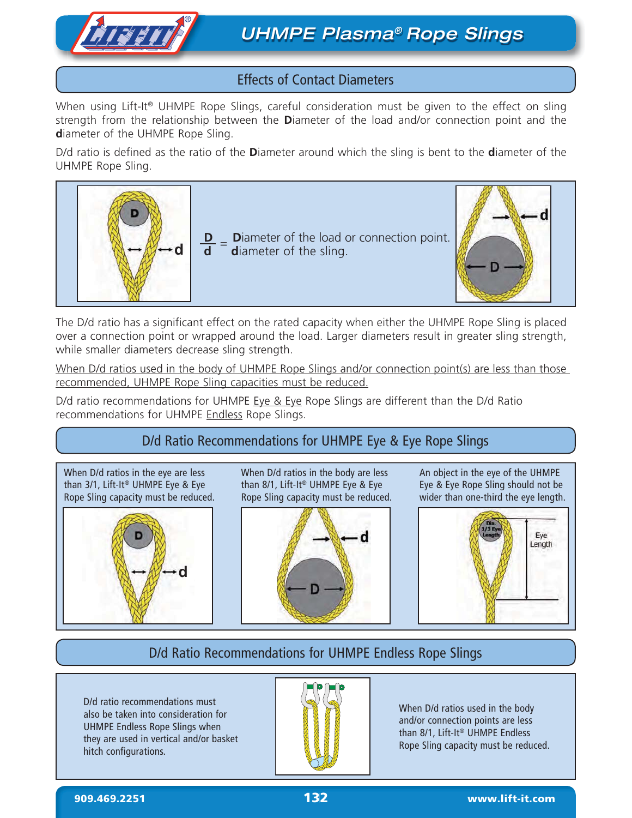

## Effects of Contact Diameters

When using Lift-It<sup>®</sup> UHMPE Rope Slings, careful consideration must be given to the effect on sling strength from the relationship between the **D**iameter of the load and/or connection point and the **d**iameter of the UHMPE Rope Sling.

D/d ratio is defined as the ratio of the **D**iameter around which the sling is bent to the **d**iameter of the UHMPE Rope Sling.



The D/d ratio has a significant effect on the rated capacity when either the UHMPE Rope Sling is placed over a connection point or wrapped around the load. Larger diameters result in greater sling strength, while smaller diameters decrease sling strength.

When D/d ratios used in the body of UHMPE Rope Slings and/or connection point(s) are less than those recommended, UHMPE Rope Sling capacities must be reduced.

D/d ratio recommendations for UHMPE  $Eye & Eye$  Rope Slings are different than the D/d Ratio recommendations for UHMPE Endless Rope Slings.

# D/d Ratio Recommendations for UHMPE Eye & Eye Rope Slings

When D/d ratios in the eye are less than 3/1, Lift-It® UHMPE Eye & Eye Rope Sling capacity must be reduced.



When D/d ratios in the body are less than 8/1, Lift-It® UHMPE Eye & Eye Rope Sling capacity must be reduced.



An object in the eye of the UHMPE Eye & Eye Rope Sling should not be wider than one-third the eye length.



# D/d Ratio Recommendations for UHMPE Endless Rope Slings

D/d ratio recommendations must also be taken into consideration for UHMPE Endless Rope Slings when they are used in vertical and/or basket hitch configurations.



When D/d ratios used in the body and/or connection points are less than 8/1, Lift-It® UHMPE Endless Rope Sling capacity must be reduced.